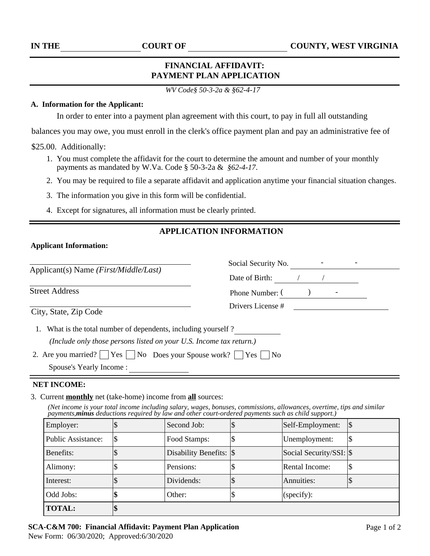# **FINANCIAL AFFIDAVIT: PAYMENT PLAN APPLICATION**

*WV Code§ 50-3-2a & §62-4-17*

## **A. Information for the Applicant:**

In order to enter into a payment plan agreement with this court, to pay in full all outstanding

balances you may owe, you must enroll in the clerk's office payment plan and pay an administrative fee of

\$25.00. Additionally:

- 1. You must complete the affidavit for the court to determine the amount and number of your monthly payments as mandated by W.Va. Code § 50-3-2a & *§62-4-17*.
- 2. You may be required to file a separate affidavit and application anytime your financial situation changes.
- 3. The information you give in this form will be confidential.
- 4. Except for signatures, all information must be clearly printed.

# **APPLICATION INFORMATION**

## **Applicant Information:**

| Applicant(s) Name ( <i>First/Middle/Last</i> )                                                                                     | Social Security No. |  |  |
|------------------------------------------------------------------------------------------------------------------------------------|---------------------|--|--|
|                                                                                                                                    | Date of Birth:      |  |  |
| <b>Street Address</b>                                                                                                              | Phone Number: (     |  |  |
| City, State, Zip Code                                                                                                              | Drivers License #   |  |  |
| What is the total number of dependents, including yourself?<br>(Include only those persons listed on your U.S. Income tax return.) |                     |  |  |
| 2. Are you married?     Yes     No Does your Spouse work? $\Box$ Yes $\Box$<br>Spouse's Yearly Income:                             | No                  |  |  |
|                                                                                                                                    |                     |  |  |

#### **NET INCOME:**

#### 3. Current **monthly** net (take-home) income from **all** sources:

*(Net income is your total income including salary, wages, bonuses, commissions, allowances, overtime, tips and similar payments,minus deductions required by law and other court-ordered payments such as child support.)* 

| Employer:          | Second Job:                | Self-Employment:        | 1\$ |
|--------------------|----------------------------|-------------------------|-----|
| Public Assistance: | Food Stamps:               | Unemployment:           |     |
| Benefits:          | Disability Benefits: $ \$$ | Social Security/SSI: \$ |     |
| Alimony:           | Pensions:                  | Rental Income:          |     |
| Interest:          | Dividends:                 | Annuities:              |     |
| Odd Jobs:          | Other:                     | (specify):              |     |
| <b>TOTAL:</b>      |                            |                         |     |